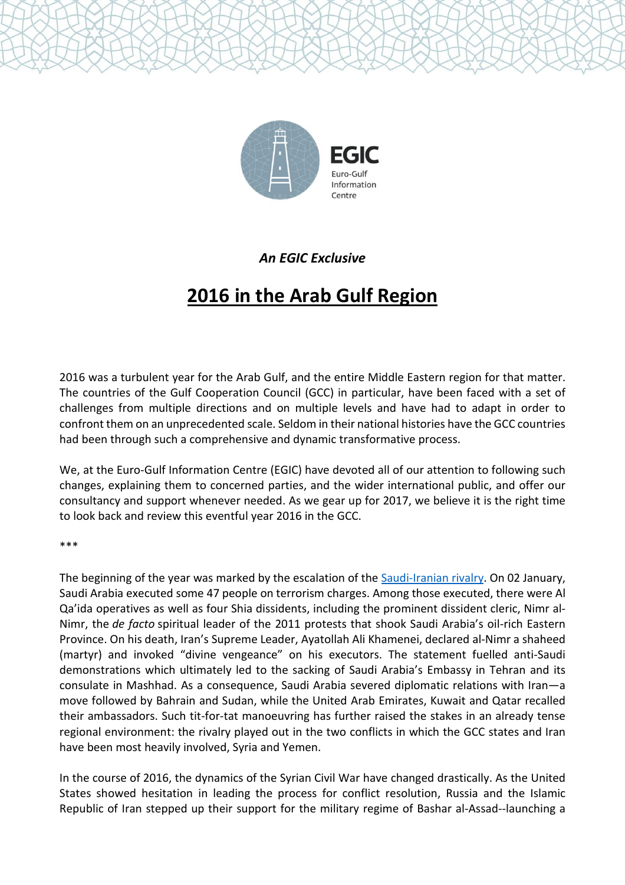

## *An EGIC Exclusive*

## **2016 in the Arab Gulf Region**

2016 was a turbulent year for the Arab Gulf, and the entire Middle Eastern region for that matter. The countries of the Gulf Cooperation Council (GCC) in particular, have been faced with a set of challenges from multiple directions and on multiple levels and have had to adapt in order to confront them on an unprecedented scale. Seldom in their national histories have the GCC countries had been through such a comprehensive and dynamic transformative process.

We, at the Euro-Gulf Information Centre (EGIC) have devoted all of our attention to following such changes, explaining them to concerned parties, and the wider international public, and offer our consultancy and support whenever needed. As we gear up for 2017, we believe it is the right time to look back and review this eventful year 2016 in the GCC.

\*\*\*

The beginning of the year was marked by the escalation of the [Saudi-Iranian](http://www.egic.info/publication/saudi-iranian-tensions-the-view-from-the-arabian-gulf) rivalry. On 02 January, Saudi Arabia executed some 47 people on terrorism charges. Among those executed, there were Al Qa'ida operatives as well as four Shia dissidents, including the prominent dissident cleric, Nimr al-Nimr, the *de facto* spiritual leader of the 2011 protests that shook Saudi Arabia's oil-rich Eastern Province. On his death, Iran's Supreme Leader, Ayatollah Ali Khamenei, declared al-Nimr a shaheed (martyr) and invoked "divine vengeance" on his executors. The statement fuelled anti-Saudi demonstrations which ultimately led to the sacking of Saudi Arabia's Embassy in Tehran and its consulate in Mashhad. As a consequence, Saudi Arabia severed diplomatic relations with Iran—a move followed by Bahrain and Sudan, while the United Arab Emirates, Kuwait and Qatar recalled their ambassadors. Such tit-for-tat manoeuvring has further raised the stakes in an already tense regional environment: the rivalry played out in the two conflicts in which the GCC states and Iran have been most heavily involved, Syria and Yemen.

In the course of 2016, the dynamics of the Syrian Civil War have changed drastically. As the United States showed hesitation in leading the process for conflict resolution, Russia and the Islamic Republic of Iran stepped up their support for the military regime of Bashar al-Assad--launching a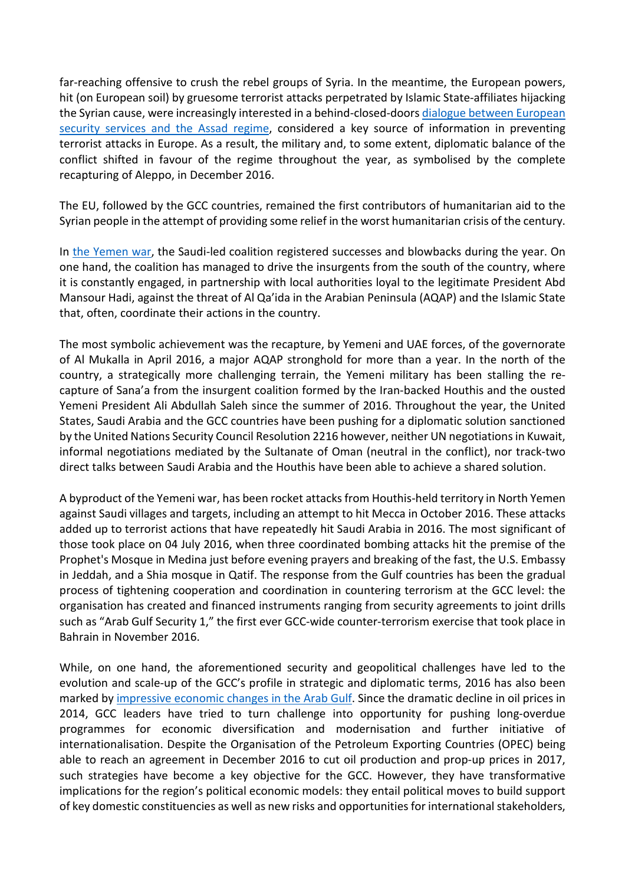far-reaching offensive to crush the rebel groups of Syria. In the meantime, the European powers, hit (on European soil) by gruesome terrorist attacks perpetrated by Islamic State-affiliates hijacking the Syrian cause, were increasingly interested in a behind-closed-doors dialogue between [European](http://www.egic.info/publication/europe-s-assad-temptation) security [services](http://www.egic.info/publication/europe-s-assad-temptation) and the Assad regime, considered a key source of information in preventing terrorist attacks in Europe. As a result, the military and, to some extent, diplomatic balance of the conflict shifted in favour of the regime throughout the year, as symbolised by the complete recapturing of Aleppo, in December 2016.

The EU, followed by the GCC countries, remained the first contributors of humanitarian aid to the Syrian people in the attempt of providing some relief in the worst humanitarian crisis of the century.

In the [Yemen](http://www.egic.info/publication/the-war-in-yemen) war, the Saudi-led coalition registered successes and blowbacks during the year. On one hand, the coalition has managed to drive the insurgents from the south of the country, where it is constantly engaged, in partnership with local authorities loyal to the legitimate President Abd Mansour Hadi, against the threat of Al Qa'ida in the Arabian Peninsula (AQAP) and the Islamic State that, often, coordinate their actions in the country.

The most symbolic achievement was the recapture, by Yemeni and UAE forces, of the governorate of Al Mukalla in April 2016, a major AQAP stronghold for more than a year. In the north of the country, a strategically more challenging terrain, the Yemeni military has been stalling the recapture of Sana'a from the insurgent coalition formed by the Iran-backed Houthis and the ousted Yemeni President Ali Abdullah Saleh since the summer of 2016. Throughout the year, the United States, Saudi Arabia and the GCC countries have been pushing for a diplomatic solution sanctioned by the United Nations Security Council Resolution 2216 however, neither UN negotiationsin Kuwait, informal negotiations mediated by the Sultanate of Oman (neutral in the conflict), nor track-two direct talks between Saudi Arabia and the Houthis have been able to achieve a shared solution.

A byproduct of the Yemeni war, has been rocket attacksfrom Houthis-held territory in North Yemen against Saudi villages and targets, including an attempt to hit Mecca in October 2016. These attacks added up to terrorist actions that have repeatedly hit Saudi Arabia in 2016. The most significant of those took place on 04 July 2016, when three coordinated bombing attacks hit the premise of the Prophet's Mosque in Medina just before evening prayers and breaking of the fast, the U.S. Embassy in Jeddah, and a Shia mosque in Qatif. The response from the Gulf countries has been the gradual process of tightening cooperation and coordination in countering terrorism at the GCC level: the organisation has created and financed instruments ranging from security agreements to joint drills such as "Arab Gulf Security 1," the first ever GCC-wide counter-terrorism exercise that took place in Bahrain in November 2016.

While, on one hand, the aforementioned security and geopolitical challenges have led to the evolution and scale-up of the GCC's profile in strategic and diplomatic terms, 2016 has also been marked by [impressive](http://www.egic.info/publication/economic-sheikh-ups-in-the-gulf) economic changes in the Arab Gulf. Since the dramatic decline in oil prices in 2014, GCC leaders have tried to turn challenge into opportunity for pushing long-overdue programmes for economic diversification and modernisation and further initiative of internationalisation. Despite the Organisation of the Petroleum Exporting Countries (OPEC) being able to reach an agreement in December 2016 to cut oil production and prop-up prices in 2017, such strategies have become a key objective for the GCC. However, they have transformative implications for the region's political economic models: they entail political moves to build support of key domestic constituencies as well as new risks and opportunitiesfor international stakeholders,